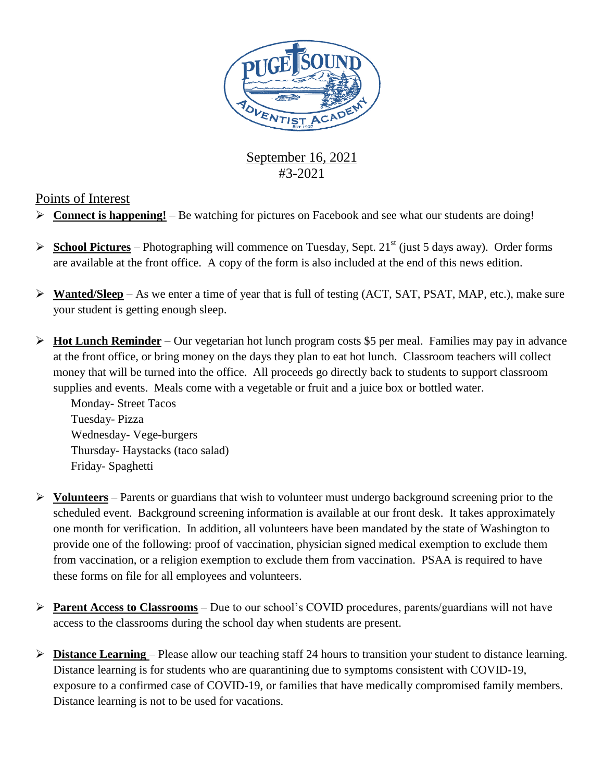

## September 16, 2021 #3-2021

### Points of Interest

- **Connect is happening!** Be watching for pictures on Facebook and see what our students are doing!
- **School Pictures** Photographing will commence on Tuesday, Sept. 21<sup>st</sup> (just 5 days away). Order forms are available at the front office. A copy of the form is also included at the end of this news edition.
- **Wanted/Sleep** As we enter a time of year that is full of testing (ACT, SAT, PSAT, MAP, etc.), make sure your student is getting enough sleep.
- **Hot Lunch Reminder** Our vegetarian hot lunch program costs \$5 per meal. Families may pay in advance at the front office, or bring money on the days they plan to eat hot lunch. Classroom teachers will collect money that will be turned into the office. All proceeds go directly back to students to support classroom supplies and events. Meals come with a vegetable or fruit and a juice box or bottled water.

Monday- Street Tacos Tuesday- Pizza Wednesday- Vege-burgers Thursday- Haystacks (taco salad) Friday- Spaghetti

- **Volunteers** Parents or guardians that wish to volunteer must undergo background screening prior to the scheduled event. Background screening information is available at our front desk. It takes approximately one month for verification. In addition, all volunteers have been mandated by the state of Washington to provide one of the following: proof of vaccination, physician signed medical exemption to exclude them from vaccination, or a religion exemption to exclude them from vaccination. PSAA is required to have these forms on file for all employees and volunteers.
- **Parent Access to Classrooms** Due to our school's COVID procedures, parents/guardians will not have access to the classrooms during the school day when students are present.
- **Distance Learning**  Please allow our teaching staff 24 hours to transition your student to distance learning. Distance learning is for students who are quarantining due to symptoms consistent with COVID-19, exposure to a confirmed case of COVID-19, or families that have medically compromised family members. Distance learning is not to be used for vacations.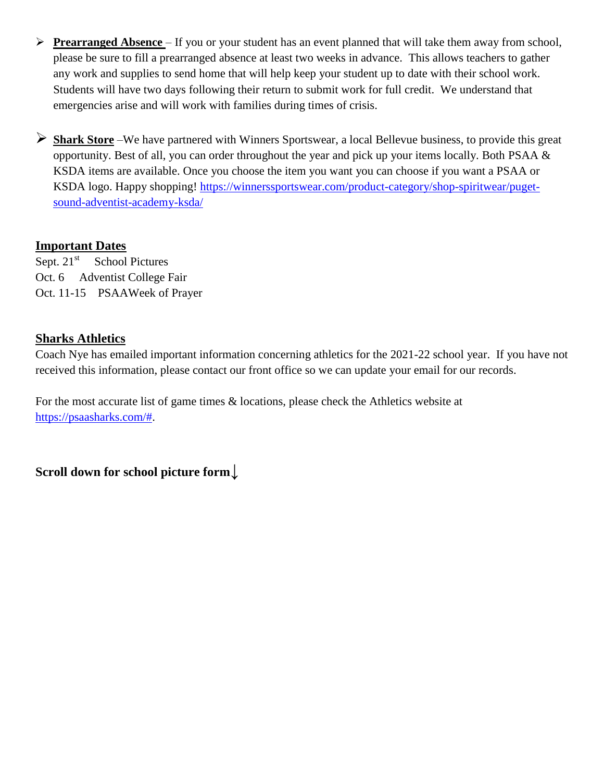- **Prearranged Absence**  If you or your student has an event planned that will take them away from school, please be sure to fill a prearranged absence at least two weeks in advance. This allows teachers to gather any work and supplies to send home that will help keep your student up to date with their school work. Students will have two days following their return to submit work for full credit. We understand that emergencies arise and will work with families during times of crisis.
- **Shark Store** –We have partnered with Winners Sportswear, a local Bellevue business, to provide this great opportunity. Best of all, you can order throughout the year and pick up your items locally. Both PSAA & KSDA items are available. Once you choose the item you want you can choose if you want a PSAA or KSDA logo. Happy shopping! [https://winnerssportswear.com/product-category/shop-spiritwear/puget](https://winnerssportswear.com/product-category/shop-spiritwear/puget-sound-adventist-academy-ksda/)[sound-adventist-academy-ksda/](https://winnerssportswear.com/product-category/shop-spiritwear/puget-sound-adventist-academy-ksda/)

#### **Important Dates**

Sept.  $21<sup>st</sup>$  School Pictures Oct. 6 Adventist College Fair Oct. 11-15 PSAAWeek of Prayer

#### **Sharks Athletics**

Coach Nye has emailed important information concerning athletics for the 2021-22 school year. If you have not received this information, please contact our front office so we can update your email for our records.

For the most accurate list of game times & locations, please check the Athletics website at [https://psaasharks.com/#.](https://psaasharks.com/)

**Scroll down for school picture form**↓